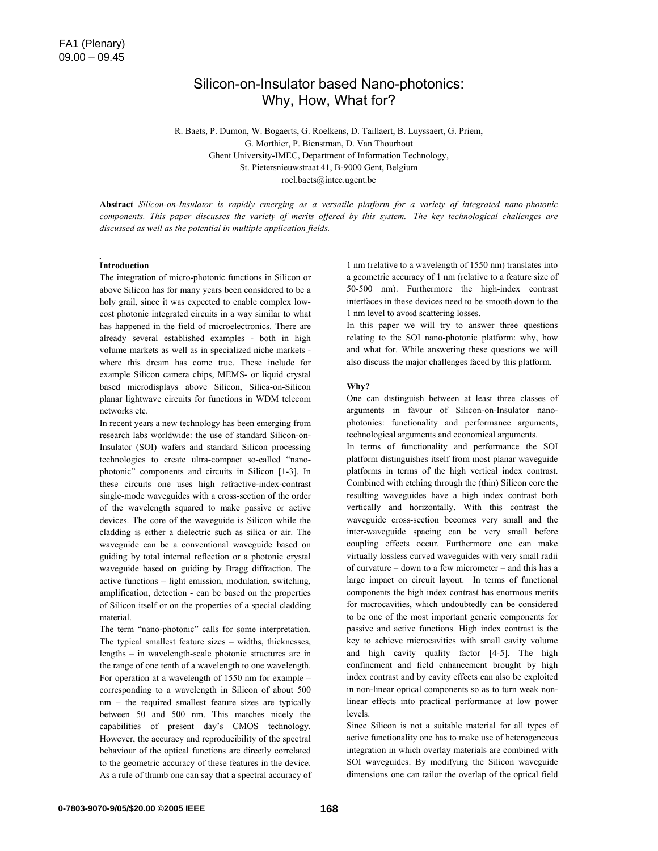# Silicon-on-Insulator based Nano-photonics: Why, How, What for?

R. Baets, P. Dumon, W. Bogaerts, G. Roelkens, D. Taillaert, B. Luyssaert, G. Priem, G. Morthier, P. Bienstman, D. Van Thourhout Ghent University-IMEC, Department of Information Technology, St. Pietersnieuwstraat 41, B-9000 Gent, Belgium roel.baets@intec.ugent.be

**Abstract** *Silicon-on-Insulator is rapidly emerging as a versatile platform for a variety of integrated nano-photonic components. This paper discusses the variety of merits offered by this system. The key technological challenges are discussed as well as the potential in multiple application fields.*

# **Introduction**

The integration of micro-photonic functions in Silicon or above Silicon has for many years been considered to be a holy grail, since it was expected to enable complex lowcost photonic integrated circuits in a way similar to what has happened in the field of microelectronics. There are already several established examples - both in high volume markets as well as in specialized niche markets where this dream has come true. These include for example Silicon camera chips, MEMS- or liquid crystal based microdisplays above Silicon, Silica-on-Silicon planar lightwave circuits for functions in WDM telecom networks etc.

In recent years a new technology has been emerging from research labs worldwide: the use of standard Silicon-on-Insulator (SOI) wafers and standard Silicon processing technologies to create ultra-compact so-called "nanophotonic" components and circuits in Silicon [1-3]. In these circuits one uses high refractive-index-contrast single-mode waveguides with a cross-section of the order of the wavelength squared to make passive or active devices. The core of the waveguide is Silicon while the cladding is either a dielectric such as silica or air. The waveguide can be a conventional waveguide based on guiding by total internal reflection or a photonic crystal waveguide based on guiding by Bragg diffraction. The active functions – light emission, modulation, switching, amplification, detection - can be based on the properties of Silicon itself or on the properties of a special cladding material. **FA1 (Plenary) CS1 CS1 CS1 CS1 CS1 CS1 CS1 CS1 CS1 CS1 CS1 CS1 CS1 CS1 CS1 CS1 CS1 CS1 CS1 CS1 CS1 CS1 CS1 CS1 CS1 CS1 CS1 CS1 CS1 CS1 CS1 CS1 CS1 CS1**

The term "nano-photonic" calls for some interpretation. The typical smallest feature sizes – widths, thicknesses, lengths – in wavelength-scale photonic structures are in the range of one tenth of a wavelength to one wavelength. For operation at a wavelength of 1550 nm for example – corresponding to a wavelength in Silicon of about 500 nm – the required smallest feature sizes are typically between 50 and 500 nm. This matches nicely the capabilities of present day's CMOS technology. However, the accuracy and reproducibility of the spectral behaviour of the optical functions are directly correlated to the geometric accuracy of these features in the device. As a rule of thumb one can say that a spectral accuracy of 1 nm (relative to a wavelength of 1550 nm) translates into a geometric accuracy of 1 nm (relative to a feature size of 50-500 nm). Furthermore the high-index contrast interfaces in these devices need to be smooth down to the 1 nm level to avoid scattering losses.

In this paper we will try to answer three questions relating to the SOI nano-photonic platform: why, how and what for. While answering these questions we will also discuss the major challenges faced by this platform.

### **Why?**

One can distinguish between at least three classes of arguments in favour of Silicon-on-Insulator nanophotonics: functionality and performance arguments, technological arguments and economical arguments.

In terms of functionality and performance the SOI platform distinguishes itself from most planar waveguide platforms in terms of the high vertical index contrast. Combined with etching through the (thin) Silicon core the resulting waveguides have a high index contrast both vertically and horizontally. With this contrast the waveguide cross-section becomes very small and the inter-waveguide spacing can be very small before coupling effects occur. Furthermore one can make virtually lossless curved waveguides with very small radii of curvature – down to a few micrometer – and this has a large impact on circuit layout. In terms of functional components the high index contrast has enormous merits for microcavities, which undoubtedly can be considered to be one of the most important generic components for passive and active functions. High index contrast is the key to achieve microcavities with small cavity volume and high cavity quality factor [4-5]. The high confinement and field enhancement brought by high index contrast and by cavity effects can also be exploited in non-linear optical components so as to turn weak nonlinear effects into practical performance at low power levels.

Since Silicon is not a suitable material for all types of active functionality one has to make use of heterogeneous integration in which overlay materials are combined with SOI waveguides. By modifying the Silicon waveguide dimensions one can tailor the overlap of the optical field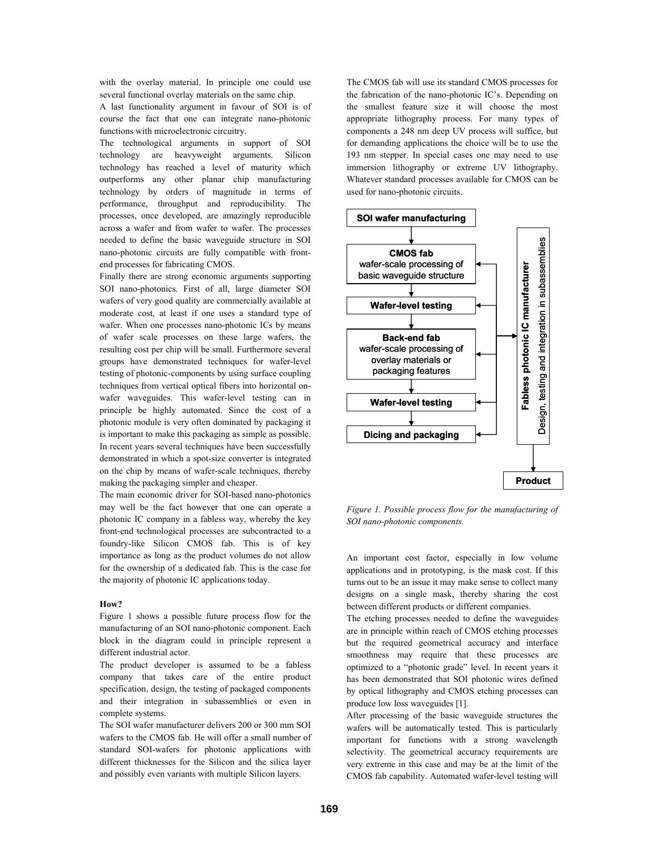with the overlay material. In principle one could use several functional overlay materials on the same chip.

A last functionality argument in favour of SOI is of course the fact that one can integrate nano-photonic functions with microelectronic circuitry.

The technological arguments in support of SOI technology are heavyweight arguments. Silicon technology has reached a level of maturity which outperforms any other planar chip manufacturing technology by orders of magnitude in terms of performance, throughput and reproducibility. The processes, once developed, are amazingly reproducible across a wafer and from wafer to wafer. The processes needed to define the basic waveguide structure in SOI nano-photonic circuits are fully compatible with frontend processes for fabricating CMOS.

Finally there are strong economic arguments supporting SOI nano-photonics. First of all, large diameter SOI wafers of very good quality are commercially available at moderate cost, at least if one uses a standard type of wafer. When one processes nano-photonic ICs by means of wafer scale processes on these large wafers, the resulting cost per chip will be small. Furthermore several groups have demonstrated techniques for wafer-level testing of photonic-components by using surface coupling techniques from vertical optical fibers into horizontal onwafer waveguides. This wafer-level testing can in principle be highly automated. Since the cost of a photonic module is very often dominated by packaging it is important to make this packaging as simple as possible. In recent years several techniques have been successfully demonstrated in which a spot-size converter is integrated on the chip by means of wafer-scale techniques, thereby making the packaging simpler and cheaper.

The main economic driver for SOI-based nano-photonics may well be the fact however that one can operate a photonic IC company in a fabless way, whereby the key front-end technological processes are subcontracted to a foundry-like Silicon CMOS fab. This is of key importance as long as the product volumes do not allow for the ownership of a dedicated fab. This is the case for the majority of photonic IC applications today.

#### **How?**

Figure 1 shows a possible future process flow for the manufacturing of an SOI nano-photonic component. Each block in the diagram could in principle represent a different industrial actor.

The product developer is assumed to be a fabless company that takes care of the entire product specification, design, the testing of packaged components and their integration in subassemblies or even in complete systems.

The SOI wafer manufacturer delivers 200 or 300 mm SOI wafers to the CMOS fab. He will offer a small number of standard SOI-wafers for photonic applications with different thicknesses for the Silicon and the silica layer and possibly even variants with multiple Silicon layers.

The CMOS fab will use its standard CMOS processes for the fabrication of the nano-photonic IC's. Depending on the smallest feature size it will choose the most appropriate lithography process. For many types of components a 248 nm deep UV process will suffice, but for demanding applications the choice will be to use the 193 nm stepper. In special cases one may need to use immersion lithography or extreme UV lithography. Whatever standard processes available for CMOS can be used for nano-photonic circuits.



*Figure 1. Possible process flow for the manufacturing of SOI nano-photonic components.* 

An important cost factor, especially in low volume applications and in prototyping, is the mask cost. If this turns out to be an issue it may make sense to collect many designs on a single mask, thereby sharing the cost between different products or different companies.

The etching processes needed to define the waveguides are in principle within reach of CMOS etching processes but the required geometrical accuracy and interface smoothness may require that these processes are optimized to a "photonic grade" level. In recent years it has been demonstrated that SOI photonic wires defined by optical lithography and CMOS etching processes can produce low loss waveguides [1].

After processing of the basic waveguide structures the wafers will be automatically tested. This is particularly important for functions with a strong wavelength selectivity. The geometrical accuracy requirements are very extreme in this case and may be at the limit of the CMOS fab capability. Automated wafer-level testing will